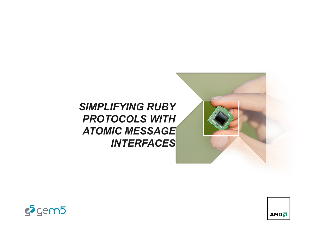

# *SIMPLIFYING RUBY PROTOCOLS WITH ATOMIC MESSAGE INTERFACES*



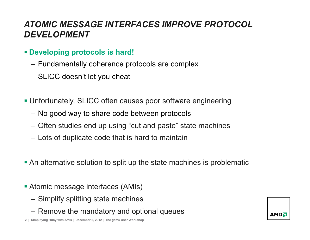## *ATOMIC MESSAGE INTERFACES IMPROVE PROTOCOL DEVELOPMENT*

#### § **Developing protocols is hard!**

- Fundamentally coherence protocols are complex
- SLICC doesn't let you cheat
- Unfortunately, SLICC often causes poor software engineering
	- No good way to share code between protocols
	- Often studies end up using "cut and paste" state machines
	- Lots of duplicate code that is hard to maintain
- An alternative solution to split up the state machines is problematic
- Atomic message interfaces (AMIs)
	- Simplify splitting state machines
	- Remove the mandatory and optional queues

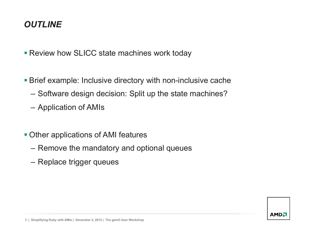## *OUTLINE*

■ Review how SLICC state machines work today

- **Brief example: Inclusive directory with non-inclusive cache** 
	- Software design decision: Split up the state machines?
	- Application of AMIs
- Other applications of AMI features
	- Remove the mandatory and optional queues
	- Replace trigger queues

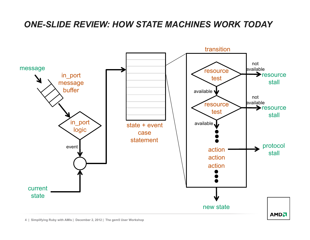### *ONE-SLIDE REVIEW: HOW STATE MACHINES WORK TODAY*

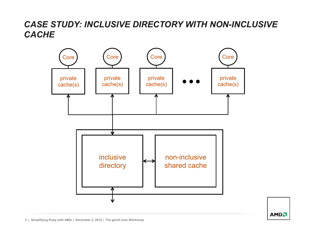## *CASE STUDY: INCLUSIVE DIRECTORY WITH NON-INCLUSIVE CACHE*



**AMD**<sub>4</sub>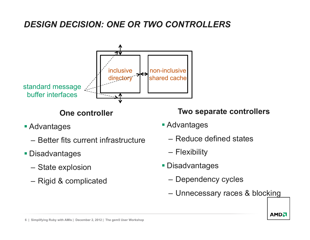## *DESIGN DECISION: ONE OR TWO CONTROLLERS*



### **One controller**

- Advantages
	- Better fits current infrastructure
- Disadvantages
	- State explosion
	- Rigid & complicated

#### **Two separate controllers**

- Advantages
	- Reduce defined states
	- Flexibility
- § Disadvantages
	- Dependency cycles
	- Unnecessary races & blocking

**AMD**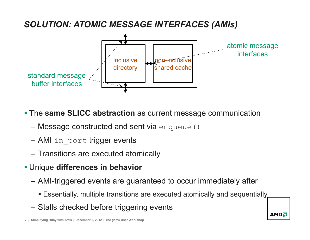## *SOLUTION: ATOMIC MESSAGE INTERFACES (AMIs)*



**The same SLICC abstraction** as current message communication

- Message constructed and sent via enqueue()
- AMI in port trigger events
- Transitions are executed atomically
- § Unique **differences in behavior** 
	- AMI-triggered events are guaranteed to occur immediately after
		- § Essentially, multiple transitions are executed atomically and sequentially

**AMDJ** 

– Stalls checked before triggering events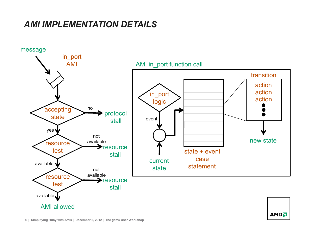## *AMI IMPLEMENTATION DETAILS*

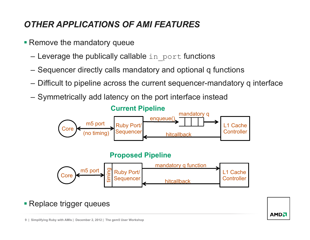# *OTHER APPLICATIONS OF AMI FEATURES*

- Remove the mandatory queue
	- $-$  Leverage the publically callable in port functions
	- Sequencer directly calls mandatory and optional q functions
	- Difficult to pipeline across the current sequencer-mandatory q interface
	- Symmetrically add latency on the port interface instead



■ Replace trigger queues